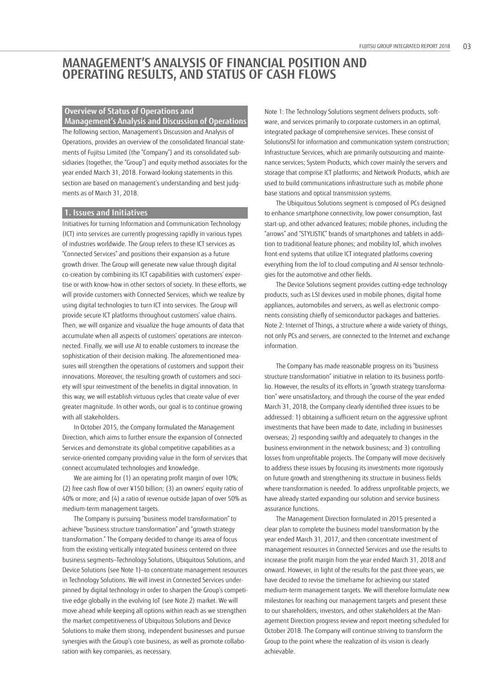# **MANAGEMENT'S ANALYSIS OF FINANCIAL POSITION AND OPERATING RESULTS, AND STATUS OF CASH FLOWS**

## **Overview of Status of Operations and**

**Management's Analysis and Discussion of Operations** The following section, Management's Discussion and Analysis of Operations, provides an overview of the consolidated financial statements of Fujitsu Limited (the "Company") and its consolidated subsidiaries (together, the "Group") and equity method associates for the year ended March 31, 2018. Forward-looking statements in this section are based on management's understanding and best judgments as of March 31, 2018.

### **1. Issues and Initiatives**

Initiatives for turning Information and Communication Technology (ICT) into services are currently progressing rapidly in various types of industries worldwide. The Group refers to these ICT services as "Connected Services" and positions their expansion as a future growth driver. The Group will generate new value through digital co-creation by combining its ICT capabilities with customers' expertise or with know-how in other sectors of society. In these efforts, we will provide customers with Connected Services, which we realize by using digital technologies to turn ICT into services. The Group will provide secure ICT platforms throughout customers' value chains. Then, we will organize and visualize the huge amounts of data that accumulate when all aspects of customers' operations are interconnected. Finally, we will use AI to enable customers to increase the sophistication of their decision making. The aforementioned measures will strengthen the operations of customers and support their innovations. Moreover, the resulting growth of customers and society will spur reinvestment of the benefits in digital innovation. In this way, we will establish virtuous cycles that create value of ever greater magnitude. In other words, our goal is to continue growing with all stakeholders.

In October 2015, the Company formulated the Management Direction, which aims to further ensure the expansion of Connected Services and demonstrate its global competitive capabilities as a service-oriented company providing value in the form of services that connect accumulated technologies and knowledge.

We are aiming for (1) an operating profit margin of over 10%; (2) free cash flow of over ¥150 billion; (3) an owners' equity ratio of 40% or more; and (4) a ratio of revenue outside Japan of over 50% as medium-term management targets.

The Company is pursuing "business model transformation" to achieve "business structure transformation" and "growth strategy transformation." The Company decided to change its area of focus from the existing vertically integrated business centered on three business segments—Technology Solutions, Ubiquitous Solutions, and Device Solutions (see Note 1)—to concentrate management resources in Technology Solutions. We will invest in Connected Services underpinned by digital technology in order to sharpen the Group's competitive edge globally in the evolving IoT (see Note 2) market. We will move ahead while keeping all options within reach as we strengthen the market competitiveness of Ubiquitous Solutions and Device Solutions to make them strong, independent businesses and pursue synergies with the Group's core business, as well as promote collaboration with key companies, as necessary.

Note 1: The Technology Solutions segment delivers products, software, and services primarily to corporate customers in an optimal, integrated package of comprehensive services. These consist of Solutions/SI for information and communication system construction; Infrastructure Services, which are primarily outsourcing and maintenance services; System Products, which cover mainly the servers and storage that comprise ICT platforms; and Network Products, which are used to build communications infrastructure such as mobile phone base stations and optical transmission systems.

The Ubiquitous Solutions segment is composed of PCs designed to enhance smartphone connectivity, low power consumption, fast start-up, and other advanced features; mobile phones, including the "arrows" and "STYLISTIC" brands of smartphones and tablets in addition to traditional feature phones; and mobility IoT, which involves front-end systems that utilize ICT integrated platforms covering everything from the IoT to cloud computing and AI sensor technologies for the automotive and other fields.

The Device Solutions segment provides cutting-edge technology products, such as LSI devices used in mobile phones, digital home appliances, automobiles and servers, as well as electronic components consisting chiefly of semiconductor packages and batteries. Note 2: Internet of Things, a structure where a wide variety of things, not only PCs and servers, are connected to the Internet and exchange information.

The Company has made reasonable progress on its "business structure transformation" initiative in relation to its business portfolio. However, the results of its efforts in "growth strategy transformation" were unsatisfactory, and through the course of the year ended March 31, 2018, the Company clearly identified three issues to be addressed: 1) obtaining a sufficient return on the aggressive upfront investments that have been made to date, including in businesses overseas; 2) responding swiftly and adequately to changes in the business environment in the network business; and 3) controlling losses from unprofitable projects. The Company will move decisively to address these issues by focusing its investments more rigorously on future growth and strengthening its structure in business fields where transformation is needed. To address unprofitable projects, we have already started expanding our solution and service business assurance functions.

The Management Direction formulated in 2015 presented a clear plan to complete the business model transformation by the year ended March 31, 2017, and then concentrate investment of management resources in Connected Services and use the results to increase the profit margin from the year ended March 31, 2018 and onward. However, in light of the results for the past three years, we have decided to revise the timeframe for achieving our stated medium-term management targets. We will therefore formulate new milestones for reaching our management targets and present these to our shareholders, investors, and other stakeholders at the Management Direction progress review and report meeting scheduled for October 2018. The Company will continue striving to transform the Group to the point where the realization of its vision is clearly achievable.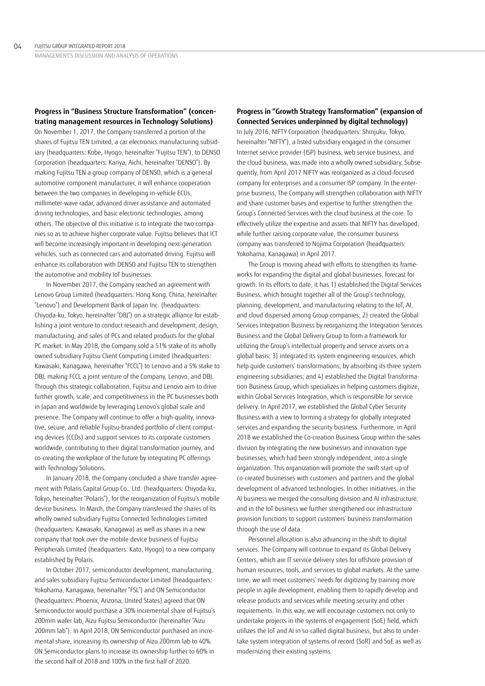## **Progress in "Business Structure Transformation" (concentrating management resources in Technology Solutions)**

On November 1, 2017, the Company transferred a portion of the shares of Fujitsu TEN Limited, a car electronics manufacturing subsidiary (headquarters: Kobe, Hyogo, hereinafter "Fujitsu TEN"), to DENSO Corporation (headquarters: Kariya, Aichi, hereinafter "DENSO"). By making Fujitsu TEN a group company of DENSO, which is a general automotive component manufacturer, it will enhance cooperation between the two companies in developing in-vehicle ECUs, millimeter-wave radar, advanced driver assistance and automated driving technologies, and basic electronic technologies, among others. The objective of this initiative is to integrate the two companies so as to achieve higher corporate value. Fujitsu believes that ICT will become increasingly important in developing next-generation vehicles, such as connected cars and automated driving. Fujitsu will enhance its collaboration with DENSO and Fujitsu TEN to strengthen the automotive and mobility IoT businesses.

In November 2017, the Company reached an agreement with Lenovo Group Limited (headquarters: Hong Kong, China, hereinafter "Lenovo") and Development Bank of Japan Inc. (headquarters: Chiyoda-ku, Tokyo, hereinafter "DBJ") on a strategic alliance for establishing a joint venture to conduct research and development, design, manufacturing, and sales of PCs and related products for the global PC market. In May 2018, the Company sold a 51% stake of its wholly owned subsidiary Fujitsu Client Computing Limited (headquarters: Kawasaki, Kanagawa, hereinafter "FCCL") to Lenovo and a 5% stake to DBJ, making FCCL a joint venture of the Company, Lenovo, and DBJ. Through this strategic collaboration, Fujitsu and Lenovo aim to drive further growth, scale, and competitiveness in the PC businesses both in Japan and worldwide by leveraging Lenovo's global scale and presence. The Company will continue to offer a high-quality, innovative, secure, and reliable Fujitsu-branded portfolio of client computing devices (CCDs) and support services to its corporate customers worldwide, contributing to their digital transformation journey, and co-creating the workplace of the future by integrating PC offerings with Technology Solutions.

In January 2018, the Company concluded a share transfer agreement with Polaris Capital Group Co., Ltd. (headquarters: Chiyoda-ku, Tokyo, hereinafter "Polaris"), for the reorganization of Fujitsu's mobile device business. In March, the Company transferred the shares of its wholly owned subsidiary Fujitsu Connected Technologies Limited (headquarters: Kawasaki, Kanagawa) as well as shares in a new company that took over the mobile device business of Fujitsu Peripherals Limited (headquarters: Kato, Hyogo) to a new company established by Polaris.

In October 2017, semiconductor development, manufacturing, and sales subsidiary Fujitsu Semiconductor Limited (headquarters: Yokohama, Kanagawa, hereinafter "FSL") and ON Semiconductor (headquarters: Phoenix, Arizona, United States) agreed that ON Semiconductor would purchase a 30% incremental share of Fujitsu's 200mm wafer lab, Aizu Fujitsu Semiconductor (hereinafter "Aizu 200mm lab"). In April 2018, ON Semiconductor purchased an incremental share, increasing its ownership of Aizu 200mm lab to 40%. ON Semiconductor plans to increase its ownership further to 60% in the second half of 2018 and 100% in the first half of 2020.

## **Progress in "Growth Strategy Transformation" (expansion of Connected Services underpinned by digital technology)**

In July 2016, NIFTY Corporation (headquarters: Shinjuku, Tokyo, hereinafter "NIFTY"), a listed subsidiary engaged in the consumer Internet service provider (ISP) business, web service business, and the cloud business, was made into a wholly owned subsidiary. Subsequently, from April 2017 NIFTY was reorganized as a cloud-focused company for enterprises and a consumer ISP company. In the enterprise business, The Company will strengthen collaboration with NIFTY and share customer bases and expertise to further strengthen the Group's Connected Services with the cloud business at the core. To effectively utilize the expertise and assets that NIFTY has developed, while further raising corporate value, the consumer business company was transferred to Nojima Corporation (headquarters: Yokohama, Kanagawa) in April 2017.

The Group is moving ahead with efforts to strengthen its frameworks for expanding the digital and global businesses, forecast for growth. In its efforts to date, it has 1) established the Digital Services Business, which brought together all of the Group's technology, planning, development, and manufacturing relating to the IoT, AI, and cloud dispersed among Group companies; 2) created the Global Services Integration Business by reorganizing the Integration Services Business and the Global Delivery Group to form a framework for utilizing the Group's intellectual property and service assets on a global basis; 3) integrated its system engineering resources, which help guide customers' transformations, by absorbing its three system engineering subsidiaries; and 4) established the Digital Transformation Business Group, which specializes in helping customers digitize, within Global Services Integration, which is responsible for service delivery. In April 2017, we established the Global Cyber Security Business with a view to forming a strategy for globally integrated services and expanding the security business. Furthermore, in April 2018 we established the Co-creation Business Group within the sales division by integrating the new businesses and innovation-type businesses, which had been strongly independent, into a single organization. This organization will promote the swift start-up of co-created businesses with customers and partners and the global development of advanced technologies. In other initiatives, in the AI business we merged the consulting division and AI infrastructure, and in the IoT business we further strengthened our infrastructure provision functions to support customers' business transformation through the use of data.

Personnel allocation is also advancing in the shift to digital services. The Company will continue to expand its Global Delivery Centers, which are IT service delivery sites for offshore provision of human resources, tools, and services to global markets. At the same time, we will meet customers' needs for digitizing by training more people in agile development, enabling them to rapidly develop and release products and services while meeting security and other requirements. In this way, we will encourage customers not only to undertake projects in the systems of engagement (SoE) field, which utilizes the IoT and AI in so-called digital business, but also to undertake system integration of systems of record (SoR) and SoE as well as modernizing their existing systems.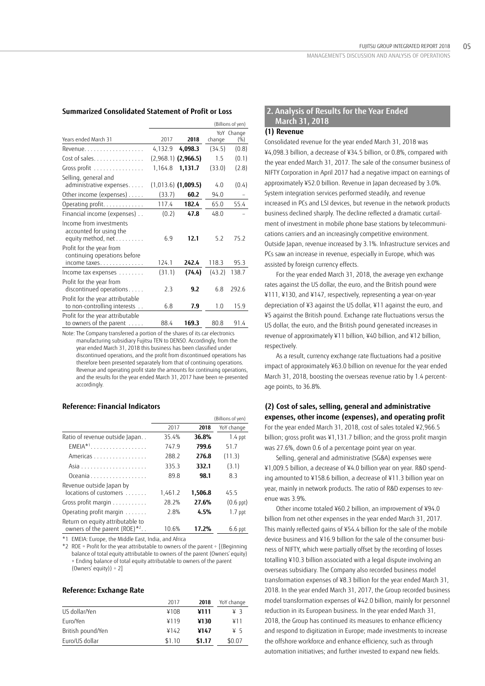## **Summarized Consolidated Statement of Profit or Loss**

|                                                                          |         |                       |        | (Billions of yen)    |
|--------------------------------------------------------------------------|---------|-----------------------|--------|----------------------|
| Years ended March 31                                                     | 2017    | 2018                  | change | YoY Change<br>$(\%)$ |
| Revenue.                                                                 | 4,132.9 | 4,098.3               | (34.5) | (0.8)                |
| Cost of sales. $\dots$ ,                                                 |         | $(2,968.1)$ (2,966.5) | 1.5    | (0.1)                |
| Gross profit                                                             | 1,164.8 | 1,131.7               | (33.0) | (2.8)                |
| Selling, general and<br>administrative expenses                          |         | $(1,013.6)$ (1,009.5) | 4.0    | (0.4)                |
| Other income (expenses)                                                  | (33.7)  | 60.2                  | 94.0   |                      |
| Operating profit.                                                        | 117.4   | 182.4                 | 65.0   | 55.4                 |
| Financial income (expenses)                                              | (0.2)   | 47.8                  | 48.0   |                      |
| Income from investments<br>accounted for using the<br>equity method, net | 6.9     | 12.1                  | 5.2    | 75.2                 |
| Profit for the year from<br>continuing operations before<br>income taxes | 124.1   | 242.4                 | 118.3  | 95.3                 |
| Income tax expenses                                                      | (31.1)  | (74.4)                | (43.2) | 138.7                |
| Profit for the year from<br>discontinued operations                      | 2.3     | 9.2                   | 6.8    | 292.6                |
| Profit for the year attributable<br>to non-controlling interests         | 6.8     | 7.9                   | 1.0    | 15.9                 |
| Profit for the year attributable<br>to owners of the parent              | 88.4    | 169.3                 | 80.8   | 91.4                 |

Note: The Company transferred a portion of the shares of its car electronics manufacturing subsidiary Fujitsu TEN to DENSO. Accordingly, from the year ended March 31, 2018 this business has been classified under discontinued operations, and the profit from discontinued operations has therefore been presented separately from that of continuing operations. Revenue and operating profit state the amounts for continuing operations, and the results for the year ended March 31, 2017 have been re-presented accordingly.

### **Reference: Financial Indicators**

|                                  |         |         | (Billions of yen) |
|----------------------------------|---------|---------|-------------------|
|                                  | 2017    | 2018    | YoY change        |
| Ratio of revenue outside Japan   | 35.4%   | 36.8%   | 1.4 ppt           |
| $EMEIA*1$                        | 747.9   | 799.6   | 51.7              |
| Americas                         | 288.2   | 276.8   | (11.3)            |
|                                  | 335.3   | 332.1   | (3.1)             |
| Oceania                          | 89.8    | 98.1    | 8.3               |
| Revenue outside Japan by         |         |         |                   |
| locations of customers           | 1,461.2 | 1,506.8 | 45.5              |
| Gross profit margin              | 28.2%   | 27.6%   | $(0.6$ ppt $)$    |
| Operating profit margin          | 2.8%    | 4.5%    | $1.7$ ppt         |
| Return on equity attributable to |         |         |                   |
| owners of the parent (ROE)*2     | 10.6%   | 17.2%   | $6.6$ ppt         |

\*1 EMEIA: Europe, the Middle East, India, and Africa

 $*2$  ROE = Profit for the year attributable to owners of the parent ÷ [(Beginning balance of total equity attributable to owners of the parent (Owners' equity) + Ending balance of total equity attributable to owners of the parent (Owners' equity) $) \div 2$ ]

#### **Reference: Exchange Rate**

|                   | 2017   | 2018   | YoY change |
|-------------------|--------|--------|------------|
| US dollar/Yen     | ¥108   | ¥111   | ¥З         |
| Euro/Yen          | 4119   | ¥130   | ¥11        |
| British pound/Yen | ¥142   | ¥147   | ¥5         |
| Euro/US dollar    | \$1.10 | \$1.17 | \$0.07     |

# **2. Analysis of Results for the Year Ended March 31, 2018**

### **(1) Revenue**

Consolidated revenue for the year ended March 31, 2018 was ¥4,098.3 billion, a decrease of ¥34.5 billion, or 0.8%, compared with the year ended March 31, 2017. The sale of the consumer business of NIFTY Corporation in April 2017 had a negative impact on earnings of approximately ¥52.0 billion. Revenue in Japan decreased by 3.0%. System integration services performed steadily, and revenue increased in PCs and LSI devices, but revenue in the network products business declined sharply. The decline reflected a dramatic curtailment of investment in mobile phone base stations by telecommunications carriers and an increasingly competitive environment. Outside Japan, revenue increased by 3.1%. Infrastructure services and PCs saw an increase in revenue, especially in Europe, which was assisted by foreign currency effects.

For the year ended March 31, 2018, the average yen exchange rates against the US dollar, the euro, and the British pound were ¥111, ¥130, and ¥147, respectively, representing a year-on-year depreciation of ¥3 against the US dollar, ¥11 against the euro, and ¥5 against the British pound. Exchange rate fluctuations versus the US dollar, the euro, and the British pound generated increases in revenue of approximately ¥11 billion, ¥40 billion, and ¥12 billion, respectively.

As a result, currency exchange rate fluctuations had a positive impact of approximately ¥63.0 billion on revenue for the year ended March 31, 2018, boosting the overseas revenue ratio by 1.4 percentage points, to 36.8%.

# **(2) Cost of sales, selling, general and administrative expenses, other income (expenses), and operating profit**

For the year ended March 31, 2018, cost of sales totaled ¥2,966.5 billion; gross profit was ¥1,131.7 billion; and the gross profit margin was 27.6%, down 0.6 of a percentage point year on year.

Selling, general and administrative (SG&A) expenses were ¥1,009.5 billion, a decrease of ¥4.0 billion year on year. R&D spending amounted to ¥158.6 billion, a decrease of ¥11.3 billion year on year, mainly in network products. The ratio of R&D expenses to revenue was 3.9%.

Other income totaled ¥60.2 billion, an improvement of ¥94.0 billion from net other expenses in the year ended March 31, 2017. This mainly reflected gains of ¥54.4 billion for the sale of the mobile device business and ¥16.9 billion for the sale of the consumer business of NIFTY, which were partially offset by the recording of losses totalling ¥10.3 billion associated with a legal dispute involving an overseas subsidiary. The Company also recorded business model transformation expenses of ¥8.3 billion for the year ended March 31, 2018. In the year ended March 31, 2017, the Group recorded business model transformation expenses of ¥42.0 billion, mainly for personnel reduction in its European business. In the year ended March 31, 2018, the Group has continued its measures to enhance efficiency and respond to digitization in Europe; made investments to increase the offshore workforce and enhance efficiency, such as through automation initiatives; and further invested to expand new fields.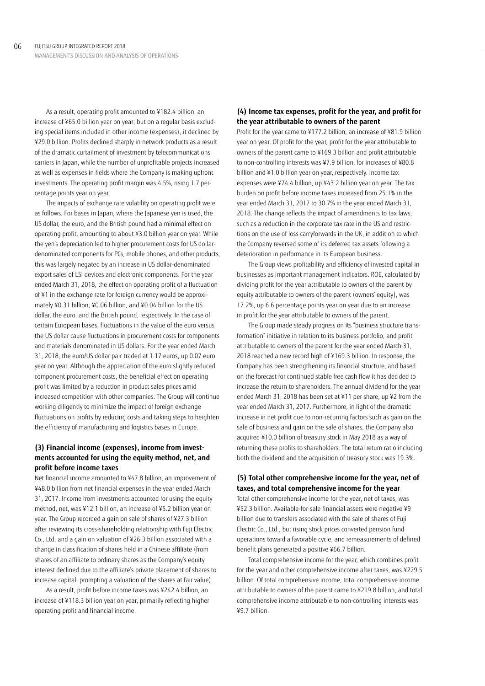As a result, operating profit amounted to ¥182.4 billion, an increase of ¥65.0 billion year on year; but on a regular basis excluding special items included in other income (expenses), it declined by ¥29.0 billion. Profits declined sharply in network products as a result of the dramatic curtailment of investment by telecommunications carriers in Japan, while the number of unprofitable projects increased as well as expenses in fields where the Company is making upfront investments. The operating profit margin was 4.5%, rising 1.7 percentage points year on year.

The impacts of exchange rate volatility on operating profit were as follows. For bases in Japan, where the Japanese yen is used, the US dollar, the euro, and the British pound had a minimal effect on operating profit, amounting to about ¥3.0 billion year on year. While the yen's depreciation led to higher procurement costs for US dollardenominated components for PCs, mobile phones, and other products, this was largely negated by an increase in US dollar-denominated export sales of LSI devices and electronic components. For the year ended March 31, 2018, the effect on operating profit of a fluctuation of ¥1 in the exchange rate for foreign currency would be approximately ¥0.31 billion, ¥0.06 billion, and ¥0.04 billion for the US dollar, the euro, and the British pound, respectively. In the case of certain European bases, fluctuations in the value of the euro versus the US dollar cause fluctuations in procurement costs for components and materials denominated in US dollars. For the year ended March 31, 2018, the euro/US dollar pair traded at 1.17 euros, up 0.07 euro year on year. Although the appreciation of the euro slightly reduced component procurement costs, the beneficial effect on operating profit was limited by a reduction in product sales prices amid increased competition with other companies. The Group will continue working diligently to minimize the impact of foreign exchange fluctuations on profits by reducing costs and taking steps to heighten the efficiency of manufacturing and logistics bases in Europe.

## **(3) Financial income (expenses), income from investments accounted for using the equity method, net, and profit before income taxes**

Net financial income amounted to ¥47.8 billion, an improvement of ¥48.0 billion from net financial expenses in the year ended March 31, 2017. Income from investments accounted for using the equity method, net, was ¥12.1 billion, an increase of ¥5.2 billion year on year. The Group recorded a gain on sale of shares of ¥27.3 billion after reviewing its cross-shareholding relationship with Fuji Electric Co., Ltd. and a gain on valuation of ¥26.3 billion associated with a change in classification of shares held in a Chinese affiliate (from shares of an affiliate to ordinary shares as the Company's equity interest declined due to the affiliate's private placement of shares to increase capital, prompting a valuation of the shares at fair value).

As a result, profit before income taxes was ¥242.4 billion, an increase of ¥118.3 billion year on year, primarily reflecting higher operating profit and financial income.

## **(4) Income tax expenses, profit for the year, and profit for the year attributable to owners of the parent**

Profit for the year came to ¥177.2 billion, an increase of ¥81.9 billion year on year. Of profit for the year, profit for the year attributable to owners of the parent came to ¥169.3 billion and profit attributable to non-controlling interests was ¥7.9 billion, for increases of ¥80.8 billion and ¥1.0 billion year on year, respectively. Income tax expenses were ¥74.4 billion, up ¥43.2 billion year on year. The tax burden on profit before income taxes increased from 25.1% in the year ended March 31, 2017 to 30.7% in the year ended March 31, 2018. The change reflects the impact of amendments to tax laws, such as a reduction in the corporate tax rate in the US and restrictions on the use of loss carryforwards in the UK, in addition to which the Company reversed some of its deferred tax assets following a deterioration in performance in its European business.

The Group views profitability and efficiency of invested capital in businesses as important management indicators. ROE, calculated by dividing profit for the year attributable to owners of the parent by equity attributable to owners of the parent (owners' equity), was 17.2%, up 6.6 percentage points year on year due to an increase in profit for the year attributable to owners of the parent.

The Group made steady progress on its "business structure transformation" initiative in relation to its business portfolio, and profit attributable to owners of the parent for the year ended March 31, 2018 reached a new record high of ¥169.3 billion. In response, the Company has been strengthening its financial structure, and based on the forecast for continued stable free cash flow it has decided to increase the return to shareholders. The annual dividend for the year ended March 31, 2018 has been set at ¥11 per share, up ¥2 from the year ended March 31, 2017. Furthermore, in light of the dramatic increase in net profit due to non-recurring factors such as gain on the sale of business and gain on the sale of shares, the Company also acquired ¥10.0 billion of treasury stock in May 2018 as a way of returning these profits to shareholders. The total return ratio including both the dividend and the acquisition of treasury stock was 19.3%.

## **(5) Total other comprehensive income for the year, net of taxes, and total comprehensive income for the year**

Total other comprehensive income for the year, net of taxes, was ¥52.3 billion. Available-for-sale financial assets were negative ¥9 billion due to transfers associated with the sale of shares of Fuji Electric Co., Ltd., but rising stock prices converted pension fund operations toward a favorable cycle, and remeasurements of defined benefit plans generated a positive ¥66.7 billion.

Total comprehensive income for the year, which combines profit for the year and other comprehensive income after taxes, was ¥229.5 billion. Of total comprehensive income, total comprehensive income attributable to owners of the parent came to ¥219.8 billion, and total comprehensive income attributable to non-controlling interests was ¥9.7 billion.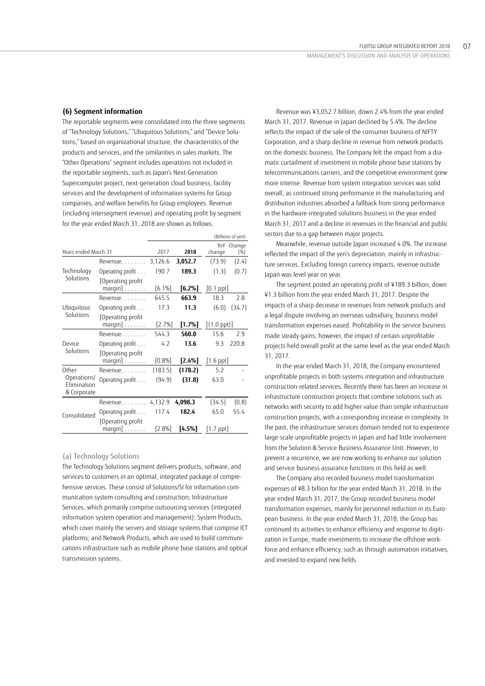#### **(6) Segment information**

The reportable segments were consolidated into the three segments of "Technology Solutions," "Ubiquitous Solutions," and "Device Solutions," based on organizational structure, the characteristics of the products and services, and the similarities in sales markets. The "Other Operations" segment includes operations not included in the reportable segments, such as Japan's Next-Generation Supercomputer project, next-generation cloud business, facility services and the development of information systems for Group companies, and welfare benefits for Group employees. Revenue (including intersegment revenue) and operating profit by segment for the year ended March 31, 2018 are shown as follows.

|                                           |                                              |           |           |                       | (Billions of yen)  |
|-------------------------------------------|----------------------------------------------|-----------|-----------|-----------------------|--------------------|
| Years ended March 31                      |                                              | 2017      | 2018      | change                | YoY Change<br>(% ) |
|                                           | Revenue 3,126.6                              |           | 3,052.7   | (73.9)                | (2.4)              |
| Technology                                | Operating profit                             | 190.7     | 189.3     | (1.3)                 | (0.7)              |
| Solutions                                 | [Operating profit<br>margin] $\dots\dots$    | [6.1%]    | [6.2%]    | $[0.1$ $ppt]$         |                    |
|                                           | Revenue                                      | 645.5     | 663.9     | 18.3                  | 2.8                |
| Ubiquitous                                | Operating profit                             | 17.3      | 11.3      | (6.0)                 | (34.7)             |
| Solutions                                 | Operating profit<br>$margin] \ldots \ldots$  | $[2.7\%]$ | [1.7%]    | $[(1.0 \text{ ppt})]$ |                    |
|                                           | Revenue.                                     | 544.3     | 560.0     | 15.6                  | 2.9                |
| Device                                    | Operating profit                             | 4.2       | 13.6      | 9.3                   | 220.8              |
| Solutions                                 | Operating profit<br>$margin] \ldots \ldots$  | $[0.8\%]$ | $[2.4\%]$ | $[1.6$ ppt $]$        |                    |
| Other                                     | Revenue                                      | (183.5)   | (178.2)   | 5.2                   |                    |
| Operations/<br>Elimination<br>& Corporate | Operating profit                             | (94.9)    | (31.8)    | 63.0                  |                    |
| Consolidated                              | Revenue.                                     | 4,132.9   | 4,098.3   | (34.5)                | (0.8)              |
|                                           | Operating profit                             | 117.4     | 182.4     | 65.0                  | 55.4               |
|                                           | [Operating profit<br>$margin] \ldots \ldots$ | $[2.8\%]$ | [4.5%]    | $[1.7$ ppt]           |                    |

#### (a) Technology Solutions

The Technology Solutions segment delivers products, software, and services to customers in an optimal, integrated package of comprehensive services. These consist of Solutions/SI for information communication system consulting and construction; Infrastructure Services, which primarily comprise outsourcing services (integrated information system operation and management); System Products, which cover mainly the servers and storage systems that comprise ICT platforms; and Network Products, which are used to build communications infrastructure such as mobile phone base stations and optical transmission systems.

Revenue was ¥3,052.7 billion, down 2.4% from the year ended March 31, 2017. Revenue in Japan declined by 5.4%. The decline reflects the impact of the sale of the consumer business of NIFTY Corporation, and a sharp decline in revenue from network products on the domestic business. The Company felt the impact from a dramatic curtailment of investment in mobile phone base stations by telecommunications carriers, and the competitive environment grew more intense. Revenue from system integration services was solid overall, as continued strong performance in the manufacturing and distribution industries absorbed a fallback from strong performance in the hardware-integrated solutions business in the year ended March 31, 2017 and a decline in revenues in the financial and public sectors due to a gap between major projects.

Meanwhile, revenue outside Japan increased 4.0%. The increase reflected the impact of the yen's depreciation, mainly in infrastructure services. Excluding foreign currency impacts, revenue outside Japan was level year on year.

The segment posted an operating profit of ¥189.3 billion, down ¥1.3 billion from the year ended March 31, 2017. Despite the impacts of a sharp decrease in revenues from network products and a legal dispute involving an overseas subsidiary, business model transformation expenses eased. Profitability in the service business made steady gains; however, the impact of certain unprofitable projects held overall profit at the same level as the year ended March 31, 2017.

In the year ended March 31, 2018, the Company encountered unprofitable projects in both systems integration and infrastructure construction-related services. Recently there has been an increase in infrastructure construction projects that combine solutions such as networks with security to add higher value than simple infrastructure construction projects, with a corresponding increase in complexity. In the past, the infrastructure services domain tended not to experience large-scale unprofitable projects in Japan and had little involvement from the Solution & Service Business Assurance Unit. However, to prevent a recurrence, we are now working to enhance our solution and service business assurance functions in this field as well.

The Company also recorded business model transformation expenses of ¥8.3 billion for the year ended March 31, 2018. In the year ended March 31, 2017, the Group recorded business model transformation expenses, mainly for personnel reduction in its European business. In the year ended March 31, 2018, the Group has continued its activities to enhance efficiency and response to digitization in Europe, made investments to increase the offshore workforce and enhance efficiency, such as through automation initiatives, and invested to expand new fields.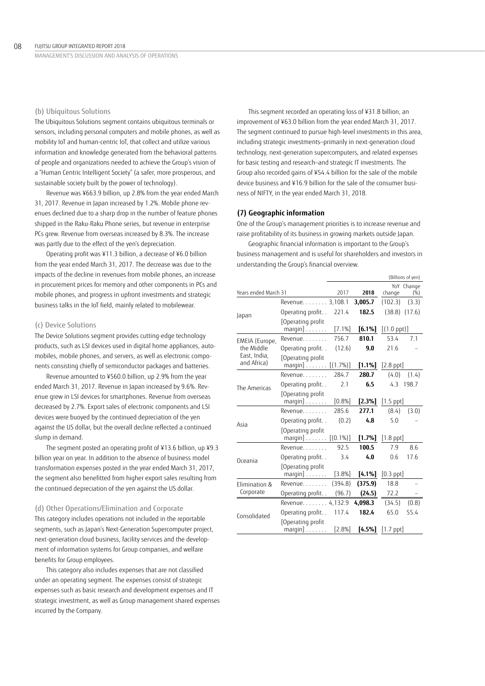MANAGEMENT'S DISCUSSION AND ANALYSIS OF OPERATIONS

#### (b) Ubiquitous Solutions

The Ubiquitous Solutions segment contains ubiquitous terminals or sensors, including personal computers and mobile phones, as well as mobility IoT and human-centric IoT, that collect and utilize various information and knowledge generated from the behavioral patterns of people and organizations needed to achieve the Group's vision of a "Human Centric Intelligent Society" (a safer, more prosperous, and sustainable society built by the power of technology).

Revenue was ¥663.9 billion, up 2.8% from the year ended March 31, 2017. Revenue in Japan increased by 1.2%. Mobile phone revenues declined due to a sharp drop in the number of feature phones shipped in the Raku-Raku Phone series, but revenue in enterprise PCs grew. Revenue from overseas increased by 8.3%. The increase was partly due to the effect of the yen's depreciation.

Operating profit was ¥11.3 billion, a decrease of ¥6.0 billion from the year ended March 31, 2017. The decrease was due to the impacts of the decline in revenues from mobile phones, an increase in procurement prices for memory and other components in PCs and mobile phones, and progress in upfront investments and strategic business talks in the IoT field, mainly related to mobilewear.

## (c) Device Solutions

The Device Solutions segment provides cutting-edge technology products, such as LSI devices used in digital home appliances, automobiles, mobile phones, and servers, as well as electronic components consisting chiefly of semiconductor packages and batteries.

Revenue amounted to ¥560.0 billion, up 2.9% from the year ended March 31, 2017. Revenue in Japan increased by 9.6%. Revenue grew in LSI devices for smartphones. Revenue from overseas decreased by 2.7%. Export sales of electronic components and LSI devices were buoyed by the continued depreciation of the yen against the US dollar, but the overall decline reflected a continued slump in demand.

The segment posted an operating profit of ¥13.6 billion, up ¥9.3 billion year on year. In addition to the absence of business model transformation expenses posted in the year ended March 31, 2017, the segment also benefitted from higher export sales resulting from the continued depreciation of the yen against the US dollar.

#### (d) Other Operations/Elimination and Corporate

This category includes operations not included in the reportable segments, such as Japan's Next-Generation Supercomputer project, next-generation cloud business, facility services and the development of information systems for Group companies, and welfare benefits for Group employees.

This category also includes expenses that are not classified under an operating segment. The expenses consist of strategic expenses such as basic research and development expenses and IT strategic investment, as well as Group management shared expenses incurred by the Company.

This segment recorded an operating loss of ¥31.8 billion, an improvement of ¥63.0 billion from the year ended March 31, 2017. The segment continued to pursue high-level investments in this area, including strategic investments—primarily in next-generation cloud technology, next-generation supercomputers, and related expenses for basic testing and research—and strategic IT investments. The Group also recorded gains of ¥54.4 billion for the sale of the mobile device business and ¥16.9 billion for the sale of the consumer business of NIFTY, in the year ended March 31, 2018.

#### **(7) Geographic information**

One of the Group's management priorities is to increase revenue and raise profitability of its business in growing markets outside Japan.

Geographic financial information is important to the Group's business management and is useful for shareholders and investors in understanding the Group's financial overview.

| (Billions of yen)           |                                                         |           |           |                       |                    |
|-----------------------------|---------------------------------------------------------|-----------|-----------|-----------------------|--------------------|
| Years ended March 31        |                                                         | 2017      | 2018      | change                | YoY Change<br>(% ) |
|                             | Revenue. 3,108.1                                        |           | 3,005.7   | (102.3)               | (3.3)              |
| Japan                       | Operating profit. .                                     | 221.4     | 182.5     | (38.8)                | (17.6)             |
|                             | Operating profit<br>$margin] \ldots \ldots$ .           | $[7.1\%]$ | $[6.1\%]$ | $[(1.0 \text{ ppt})]$ |                    |
| EMEIA (Europe,              | Revenue.                                                | 756.7     | 810.1     | 53.4                  | 7.1                |
| the Middle                  | Operating profit                                        | (12.6)    | 9.0       | 21.6                  |                    |
| East, India,<br>and Africa) | Operating profit<br>margin] [(1.7%)]                    |           | $[1.1\%]$ | $[2.8$ ppt $]$        |                    |
|                             | $Revenue$                                               | 284.7     | 280.7     | (4.0)                 | (1.4)              |
| The Americas                | Operating profit                                        | 2.1       | 6.5       | 4.3                   | 198.7              |
|                             | [Operating profit<br>$margin] \ldots \ldots \ldots$     | [0.8%]    | [2.3%]    | $[1.5$ ppt $]$        |                    |
|                             | Revenue                                                 | 285.6     | 277.1     | (8.4)                 | (3.0)              |
| Asia                        | Operating profit                                        | (0.2)     | 4.8       | 5.0                   |                    |
|                             | [Operating profit<br>$margin] \ldots \ldots [ (0.1\%)]$ |           | $[1.7\%]$ | $[1.8$ ppt $]$        |                    |
|                             | Revenue.                                                | 92.5      | 100.5     | 7.9                   | 8.6                |
| Oceania                     | Operating profit                                        | 3.4       | 4.0       | 0.6                   | 17.6               |
|                             | [Operating profit<br>$margin]$                          | [3.8%]    | [4.1%]    | $[0.3$ ppt $]$        |                    |
| Elimination &               | Revenue.                                                | (394.8)   | (375.9)   | 18.8                  |                    |
| Corporate                   | Operating profit                                        | (96.7)    | (24.5)    | 72.2                  |                    |
|                             | Revenue. 4,132.9                                        |           | 4,098.3   | (34.5)                | (0.8)              |
| Consolidated                | Operating profit. .                                     | 117.4     | 182.4     | 65.0                  | 55.4               |
|                             | Operating profit<br>margin] $\ldots \ldots$             | $[2.8\%]$ | [4.5%]    | $[1.7$ ppt]           |                    |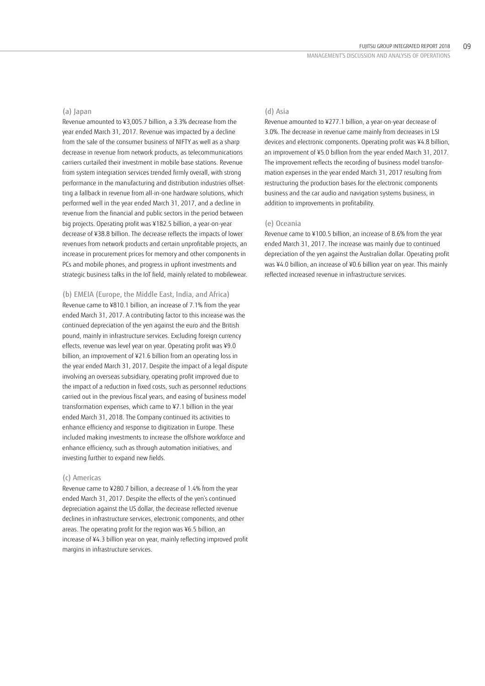#### (a) Japan

Revenue amounted to ¥3,005.7 billion, a 3.3% decrease from the year ended March 31, 2017. Revenue was impacted by a decline from the sale of the consumer business of NIFTY as well as a sharp decrease in revenue from network products, as telecommunications carriers curtailed their investment in mobile base stations. Revenue from system integration services trended firmly overall, with strong performance in the manufacturing and distribution industries offsetting a fallback in revenue from all-in-one hardware solutions, which performed well in the year ended March 31, 2017, and a decline in revenue from the financial and public sectors in the period between big projects. Operating profit was ¥182.5 billion, a year-on-year decrease of ¥38.8 billion. The decrease reflects the impacts of lower revenues from network products and certain unprofitable projects, an increase in procurement prices for memory and other components in PCs and mobile phones, and progress in upfront investments and strategic business talks in the IoT field, mainly related to mobilewear.

(b) EMEIA (Europe, the Middle East, India, and Africa) Revenue came to ¥810.1 billion, an increase of 7.1% from the year ended March 31, 2017. A contributing factor to this increase was the continued depreciation of the yen against the euro and the British pound, mainly in infrastructure services. Excluding foreign currency effects, revenue was level year on year. Operating profit was ¥9.0 billion, an improvement of ¥21.6 billion from an operating loss in the year ended March 31, 2017. Despite the impact of a legal dispute involving an overseas subsidiary, operating profit improved due to the impact of a reduction in fixed costs, such as personnel reductions carried out in the previous fiscal years, and easing of business model transformation expenses, which came to ¥7.1 billion in the year ended March 31, 2018. The Company continued its activities to enhance efficiency and response to digitization in Europe. These included making investments to increase the offshore workforce and enhance efficiency, such as through automation initiatives, and investing further to expand new fields.

#### (c) Americas

Revenue came to ¥280.7 billion, a decrease of 1.4% from the year ended March 31, 2017. Despite the effects of the yen's continued depreciation against the US dollar, the decrease reflected revenue declines in infrastructure services, electronic components, and other areas. The operating profit for the region was ¥6.5 billion, an increase of ¥4.3 billion year on year, mainly reflecting improved profit margins in infrastructure services.

## (d) Asia

Revenue amounted to ¥277.1 billion, a year-on-year decrease of 3.0%. The decrease in revenue came mainly from decreases in LSI devices and electronic components. Operating profit was ¥4.8 billion, an improvement of ¥5.0 billion from the year ended March 31, 2017. The improvement reflects the recording of business model transformation expenses in the year ended March 31, 2017 resulting from restructuring the production bases for the electronic components business and the car audio and navigation systems business, in addition to improvements in profitability.

#### (e) Oceania

Revenue came to ¥100.5 billion, an increase of 8.6% from the year ended March 31, 2017. The increase was mainly due to continued depreciation of the yen against the Australian dollar. Operating profit was ¥4.0 billion, an increase of ¥0.6 billion year on year. This mainly reflected increased revenue in infrastructure services.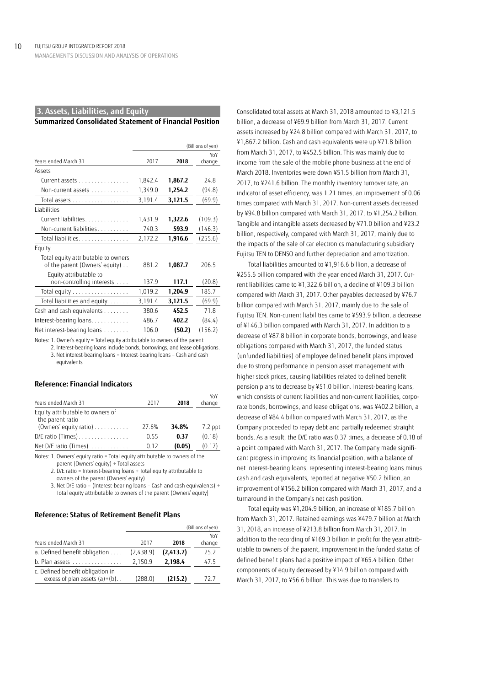MANAGEMENT'S DISCUSSION AND ANALYSIS OF OPERATIONS

#### **3. Assets, Liabilities, and Equity**

## **Summarized Consolidated Statement of Financial Position**

|                                                                       | (Billions of yen) |         |         |
|-----------------------------------------------------------------------|-------------------|---------|---------|
|                                                                       |                   |         | YoY     |
| Years ended March 31                                                  | 2017              | 2018    | change  |
| Assets                                                                |                   |         |         |
| Current assets                                                        | 1,842.4           | 1,867.2 | 24.8    |
| Non-current assets                                                    | 1,349.0           | 1,254.2 | (94.8)  |
| Total assets                                                          | 3,191.4           | 3,121.5 | (69.9)  |
| Liabilities                                                           |                   |         |         |
| Current liabilities                                                   | 1,431.9           | 1,322.6 | (109.3) |
| Non-current liabilities                                               | 740.3             | 593.9   | (146.3) |
| Total liabilities                                                     | 2,172.2           | 1,916.6 | (255.6) |
| Equity                                                                |                   |         |         |
| Total equity attributable to owners<br>of the parent (Owners' equity) | 881.2             | 1,087.7 | 206.5   |
| Equity attributable to<br>non-controlling interests                   | 137.9             | 117.1   | (20.8)  |
| Total equity                                                          | 1,019.2           | 1,204.9 | 185.7   |
| Total liabilities and equity.                                         | 3,191.4           | 3,121.5 | (69.9)  |
| Cash and cash equivalents                                             | 380.6             | 452.5   | 71.8    |
| Interest-bearing loans.                                               | 486.7             | 402.2   | (84.4)  |
| Net interest-bearing loans                                            | 106.0             | (50.2)  | (156.2) |

Notes: 1. Owner's equity = Total equity attributable to owners of the parent

2. Interest-bearing loans include bonds, borrowings, and lease obligations. 3. Net interest-bearing loans = Interest-bearing loans – Cash and cash equivalents

 $V<sub>Y</sub>$ 

#### **Reference: Financial Indicators**

| Years ended March 31                                                                                                                                                                                                                                                                                                                                                                                                    | 2017  | 2018   | <b>TEIT</b><br>change |
|-------------------------------------------------------------------------------------------------------------------------------------------------------------------------------------------------------------------------------------------------------------------------------------------------------------------------------------------------------------------------------------------------------------------------|-------|--------|-----------------------|
| Equity attributable to owners of<br>the parent ratio                                                                                                                                                                                                                                                                                                                                                                    |       |        |                       |
| (Owners' equity ratio)                                                                                                                                                                                                                                                                                                                                                                                                  | 27.6% | 34.8%  | 7.2 ppt               |
| $D/E$ ratio (Times)                                                                                                                                                                                                                                                                                                                                                                                                     | 0.55  | 0.37   | (0.18)                |
| Net D/E ratio (Times)                                                                                                                                                                                                                                                                                                                                                                                                   | 0.12  | (0.05) | (0.17)                |
| $\mathbf{A} \mathbf{A} \mathbf{A} = \mathbf{A} \mathbf{A} \mathbf{A} + \mathbf{A} \mathbf{A} + \mathbf{A} \mathbf{A} + \mathbf{A} \mathbf{A} + \mathbf{A} \mathbf{A} + \mathbf{A} \mathbf{A} + \mathbf{A} \mathbf{A} + \mathbf{A} \mathbf{A} + \mathbf{A} \mathbf{A} + \mathbf{A} \mathbf{A} + \mathbf{A} \mathbf{A} + \mathbf{A} \mathbf{A} + \mathbf{A} \mathbf{A} + \mathbf{A} \mathbf{A} + \mathbf{A} \mathbf{A} +$ |       |        |                       |

Notes: 1. Owners' equity ratio = Total equity attributable to owners of the parent (Owners' equity) ÷ Total assets

2. D/E ratio = Interest-bearing loans ÷ Total equity attributable to owners of the parent (Owners' equity)

3. Net D/E ratio = (Interest-bearing loans – Cash and cash equivalents) ÷ Total equity attributable to owners of the parent (Owners' equity)

## **Reference: Status of Retirement Benefit Plans**

|                                                                     | (Billions of yen) |            |               |
|---------------------------------------------------------------------|-------------------|------------|---------------|
| Years ended March 31                                                | 2017              | 2018       | YoY<br>change |
| a. Defined benefit obligation                                       | (2,438.9)         | (2, 413.7) | 25.2          |
| $b.$ Plan assets $\ldots \ldots \ldots \ldots$                      | 2,150.9           | 2,198.4    | 47.5          |
| c. Defined benefit obligation in<br>excess of plan assets $(a)+(b)$ | (288.0)           | (215.2)    | 72 7          |

Consolidated total assets at March 31, 2018 amounted to ¥3,121.5 billion, a decrease of ¥69.9 billion from March 31, 2017. Current assets increased by ¥24.8 billion compared with March 31, 2017, to ¥1,867.2 billion. Cash and cash equivalents were up ¥71.8 billion from March 31, 2017, to ¥452.5 billion. This was mainly due to income from the sale of the mobile phone business at the end of March 2018. Inventories were down ¥51.5 billion from March 31, 2017, to ¥241.6 billion. The monthly inventory turnover rate, an indicator of asset efficiency, was 1.21 times, an improvement of 0.06 times compared with March 31, 2017. Non-current assets decreased by ¥94.8 billion compared with March 31, 2017, to ¥1,254.2 billion. Tangible and intangible assets decreased by ¥71.0 billion and ¥23.2 billion, respectively, compared with March 31, 2017, mainly due to the impacts of the sale of car electronics manufacturing subsidiary Fujitsu TEN to DENSO and further depreciation and amortization.

Total liabilities amounted to ¥1,916.6 billion, a decrease of ¥255.6 billion compared with the year ended March 31, 2017. Current liabilities came to ¥1,322.6 billion, a decline of ¥109.3 billion compared with March 31, 2017. Other payables decreased by ¥76.7 billion compared with March 31, 2017, mainly due to the sale of Fujitsu TEN. Non-current liabilities came to ¥593.9 billion, a decrease of ¥146.3 billion compared with March 31, 2017. In addition to a decrease of ¥87.8 billion in corporate bonds, borrowings, and lease obligations compared with March 31, 2017, the funded status (unfunded liabilities) of employee defined benefit plans improved due to strong performance in pension asset management with higher stock prices, causing liabilities related to defined benefit pension plans to decrease by ¥51.0 billion. Interest-bearing loans, which consists of current liabilities and non-current liabilities, corporate bonds, borrowings, and lease obligations, was ¥402.2 billion, a decrease of ¥84.4 billion compared with March 31, 2017, as the Company proceeded to repay debt and partially redeemed straight bonds. As a result, the D/E ratio was 0.37 times, a decrease of 0.18 of a point compared with March 31, 2017. The Company made significant progress in improving its financial position, with a balance of net interest-bearing loans, representing interest-bearing loans minus cash and cash equivalents, reported at negative ¥50.2 billion, an improvement of ¥156.2 billion compared with March 31, 2017, and a turnaround in the Company's net cash position.

Total equity was ¥1,204.9 billion, an increase of ¥185.7 billion from March 31, 2017. Retained earnings was ¥479.7 billion at March 31, 2018, an increase of ¥213.8 billion from March 31, 2017. In addition to the recording of ¥169.3 billion in profit for the year attributable to owners of the parent, improvement in the funded status of defined benefit plans had a positive impact of ¥65.4 billion. Other components of equity decreased by ¥14.9 billion compared with March 31, 2017, to ¥56.6 billion. This was due to transfers to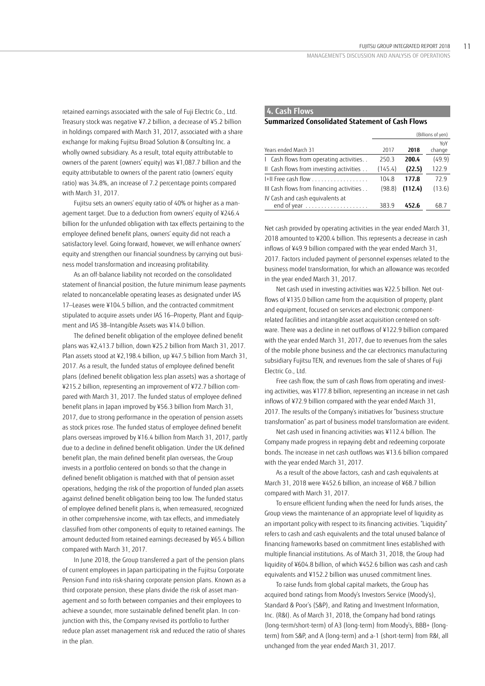retained earnings associated with the sale of Fuji Electric Co., Ltd. Treasury stock was negative ¥7.2 billion, a decrease of ¥5.2 billion in holdings compared with March 31, 2017, associated with a share exchange for making Fujitsu Broad Solution & Consulting Inc. a wholly owned subsidiary. As a result, total equity attributable to owners of the parent (owners' equity) was ¥1,087.7 billion and the equity attributable to owners of the parent ratio (owners' equity ratio) was 34.8%, an increase of 7.2 percentage points compared with March 31, 2017.

Fujitsu sets an owners' equity ratio of 40% or higher as a management target. Due to a deduction from owners' equity of ¥246.4 billion for the unfunded obligation with tax effects pertaining to the employee defined benefit plans, owners' equity did not reach a satisfactory level. Going forward, however, we will enhance owners' equity and strengthen our financial soundness by carrying out business model transformation and increasing profitability.

As an off-balance liability not recorded on the consolidated statement of financial position, the future minimum lease payments related to noncancelable operating leases as designated under IAS 17—Leases were ¥104.5 billion, and the contracted commitment stipulated to acquire assets under IAS 16—Property, Plant and Equipment and IAS 38—Intangible Assets was ¥14.0 billion.

The defined benefit obligation of the employee defined benefit plans was ¥2,413.7 billion, down ¥25.2 billion from March 31, 2017. Plan assets stood at ¥2,198.4 billion, up ¥47.5 billion from March 31, 2017. As a result, the funded status of employee defined benefit plans (defined benefit obligation less plan assets) was a shortage of ¥215.2 billion, representing an improvement of ¥72.7 billion compared with March 31, 2017. The funded status of employee defined benefit plans in Japan improved by ¥56.3 billion from March 31, 2017, due to strong performance in the operation of pension assets as stock prices rose. The funded status of employee defined benefit plans overseas improved by ¥16.4 billion from March 31, 2017, partly due to a decline in defined benefit obligation. Under the UK defined benefit plan, the main defined benefit plan overseas, the Group invests in a portfolio centered on bonds so that the change in defined benefit obligation is matched with that of pension asset operations, hedging the risk of the proportion of funded plan assets against defined benefit obligation being too low. The funded status of employee defined benefit plans is, when remeasured, recognized in other comprehensive income, with tax effects, and immediately classified from other components of equity to retained earnings. The amount deducted from retained earnings decreased by ¥65.4 billion compared with March 31, 2017.

In June 2018, the Group transferred a part of the pension plans of current employees in Japan participating in the Fujitsu Corporate Pension Fund into risk-sharing corporate pension plans. Known as a third corporate pension, these plans divide the risk of asset management and so forth between companies and their employees to achieve a sounder, more sustainable defined benefit plan. In conjunction with this, the Company revised its portfolio to further reduce plan asset management risk and reduced the ratio of shares in the plan.

## **4. Cash Flows**

## **Summarized Consolidated Statement of Cash Flows**

|                                          | (Billions of yen) |         |        |
|------------------------------------------|-------------------|---------|--------|
|                                          |                   |         | YoY    |
| Years ended March 31                     | 2017              | 2018    | change |
| I Cash flows from operating activities   | 250.3             | 200.4   | (49.9) |
| II Cash flows from investing activities  | (145.4)           | (22.5)  | 122.9  |
| $\left +\right $ Free cash flow          | 104.8             | 177.8   | 72.9   |
| III Cash flows from financing activities | (98.8)            | (112.4) | (13.6) |
| IV Cash and cash equivalents at          |                   |         |        |
|                                          | 383.9             | 452.6   | 68.7   |

Net cash provided by operating activities in the year ended March 31, 2018 amounted to ¥200.4 billion. This represents a decrease in cash inflows of ¥49.9 billion compared with the year ended March 31, 2017. Factors included payment of personnel expenses related to the business model transformation, for which an allowance was recorded in the year ended March 31, 2017.

Net cash used in investing activities was ¥22.5 billion. Net outflows of ¥135.0 billion came from the acquisition of property, plant and equipment, focused on services and electronic componentrelated facilities and intangible asset acquisition centered on software. There was a decline in net outflows of ¥122.9 billion compared with the year ended March 31, 2017, due to revenues from the sales of the mobile phone business and the car electronics manufacturing subsidiary Fujitsu TEN, and revenues from the sale of shares of Fuji Electric Co., Ltd.

Free cash flow, the sum of cash flows from operating and investing activities, was ¥177.8 billion, representing an increase in net cash inflows of ¥72.9 billion compared with the year ended March 31, 2017. The results of the Company's initiatives for "business structure transformation" as part of business model transformation are evident.

Net cash used in financing activities was ¥112.4 billion. The Company made progress in repaying debt and redeeming corporate bonds. The increase in net cash outflows was ¥13.6 billion compared with the year ended March 31, 2017.

As a result of the above factors, cash and cash equivalents at March 31, 2018 were ¥452.6 billion, an increase of ¥68.7 billion compared with March 31, 2017.

To ensure efficient funding when the need for funds arises, the Group views the maintenance of an appropriate level of liquidity as an important policy with respect to its financing activities. "Liquidity" refers to cash and cash equivalents and the total unused balance of financing frameworks based on commitment lines established with multiple financial institutions. As of March 31, 2018, the Group had liquidity of ¥604.8 billion, of which ¥452.6 billion was cash and cash equivalents and ¥152.2 billion was unused commitment lines.

To raise funds from global capital markets, the Group has acquired bond ratings from Moody's Investors Service (Moody's), Standard & Poor's (S&P), and Rating and Investment Information, Inc. (R&I). As of March 31, 2018, the Company had bond ratings (long-term/short-term) of A3 (long-term) from Moody's, BBB+ (longterm) from S&P, and A (long-term) and a-1 (short-term) from R&I, all unchanged from the year ended March 31, 2017.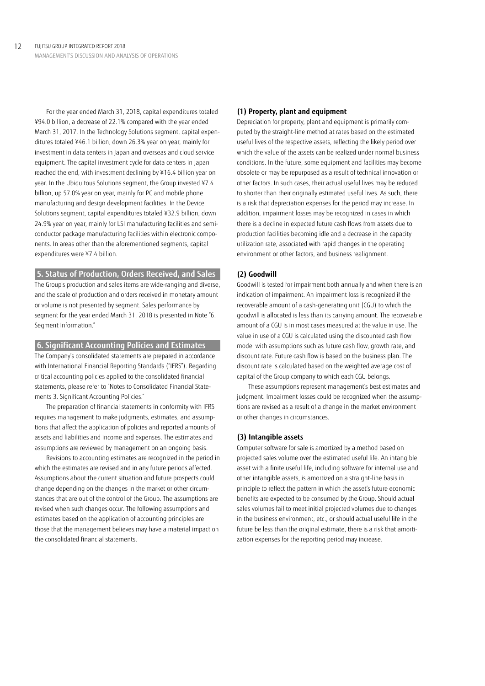For the year ended March 31, 2018, capital expenditures totaled ¥94.0 billion, a decrease of 22.1% compared with the year ended March 31, 2017. In the Technology Solutions segment, capital expenditures totaled ¥46.1 billion, down 26.3% year on year, mainly for investment in data centers in Japan and overseas and cloud service equipment. The capital investment cycle for data centers in Japan reached the end, with investment declining by ¥16.4 billion year on year. In the Ubiquitous Solutions segment, the Group invested ¥7.4 billion, up 57.0% year on year, mainly for PC and mobile phone manufacturing and design development facilities. In the Device Solutions segment, capital expenditures totaled ¥32.9 billion, down 24.9% year on year, mainly for LSI manufacturing facilities and semiconductor package manufacturing facilities within electronic components. In areas other than the aforementioned segments, capital expenditures were ¥7.4 billion.

# **5. Status of Production, Orders Received, and Sales**

The Group's production and sales items are wide-ranging and diverse, and the scale of production and orders received in monetary amount or volume is not presented by segment. Sales performance by segment for the year ended March 31, 2018 is presented in Note "6. Segment Information."

## **6. Significant Accounting Policies and Estimates**

The Company's consolidated statements are prepared in accordance with International Financial Reporting Standards ("IFRS"). Regarding critical accounting policies applied to the consolidated financial statements, please refer to "Notes to Consolidated Financial Statements 3. Significant Accounting Policies."

The preparation of financial statements in conformity with IFRS requires management to make judgments, estimates, and assumptions that affect the application of policies and reported amounts of assets and liabilities and income and expenses. The estimates and assumptions are reviewed by management on an ongoing basis.

Revisions to accounting estimates are recognized in the period in which the estimates are revised and in any future periods affected. Assumptions about the current situation and future prospects could change depending on the changes in the market or other circumstances that are out of the control of the Group. The assumptions are revised when such changes occur. The following assumptions and estimates based on the application of accounting principles are those that the management believes may have a material impact on the consolidated financial statements.

#### **(1) Property, plant and equipment**

Depreciation for property, plant and equipment is primarily computed by the straight-line method at rates based on the estimated useful lives of the respective assets, reflecting the likely period over which the value of the assets can be realized under normal business conditions. In the future, some equipment and facilities may become obsolete or may be repurposed as a result of technical innovation or other factors. In such cases, their actual useful lives may be reduced to shorter than their originally estimated useful lives. As such, there is a risk that depreciation expenses for the period may increase. In addition, impairment losses may be recognized in cases in which there is a decline in expected future cash flows from assets due to production facilities becoming idle and a decrease in the capacity utilization rate, associated with rapid changes in the operating environment or other factors, and business realignment.

### **(2) Goodwill**

Goodwill is tested for impairment both annually and when there is an indication of impairment. An impairment loss is recognized if the recoverable amount of a cash-generating unit (CGU) to which the goodwill is allocated is less than its carrying amount. The recoverable amount of a CGU is in most cases measured at the value in use. The value in use of a CGU is calculated using the discounted cash flow model with assumptions such as future cash flow, growth rate, and discount rate. Future cash flow is based on the business plan. The discount rate is calculated based on the weighted average cost of capital of the Group company to which each CGU belongs.

These assumptions represent management's best estimates and judgment. Impairment losses could be recognized when the assumptions are revised as a result of a change in the market environment or other changes in circumstances.

### **(3) Intangible assets**

Computer software for sale is amortized by a method based on projected sales volume over the estimated useful life. An intangible asset with a finite useful life, including software for internal use and other intangible assets, is amortized on a straight-line basis in principle to reflect the pattern in which the asset's future economic benefits are expected to be consumed by the Group. Should actual sales volumes fail to meet initial projected volumes due to changes in the business environment, etc., or should actual useful life in the future be less than the original estimate, there is a risk that amortization expenses for the reporting period may increase.